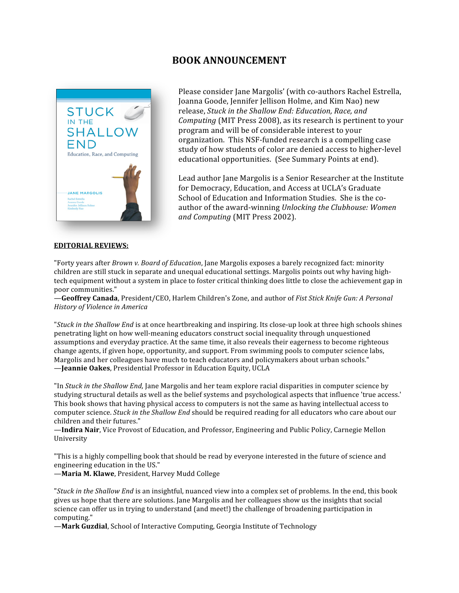# **BOOK ANNOUNCEMENT**



Please consider Jane Margolis' (with co‐authors Rachel Estrella, Joanna Goode, Jennifer Jellison Holme, and Kim Nao) new release, *Stuck in the Shallow End: Education, Race, and Computing* (MIT Press 2008), as its research is pertinent to your program and will be of considerable interest to your organization. This NSF‐funded research is a compelling case study of how students of color are denied access to higher‐level educational opportunities. (See Summary Points at end).

Lead author Jane Margolis is a Senior Researcher at the Institute for Democracy, Education, and Access at UCLA's Graduate School of Education and Information Studies. She is the co‐ author of the award‐winning *Unlocking the Clubhouse: Women and Computing* (MIT Press 2002).

## **EDITORIAL REVIEWS:**

"Forty years after *Brown v. Board of Education*, Jane Margolis exposes a barely recognized fact: minority children are still stuck in separate and unequal educational settings. Margolis points out why having hightech equipment without a system in place to foster critical thinking does little to close the achievement gap in poor communities."

—**Geoffrey Canada**, President/CEO, Harlem Children's Zone, and author of *Fist Stick Knife Gun: A Personal History of Violence in America*

"*Stuck in the Shallow End* is at once heartbreaking and inspiring. Its close‐up look at three high schools shines penetrating light on how well‐meaning educators construct social inequality through unquestioned assumptions and everyday practice. At the same time, it also reveals their eagerness to become righteous change agents, if given hope, opportunity, and support. From swimming pools to computer science labs, Margolis and her colleagues have much to teach educators and policymakers about urban schools." —**Jeannie Oakes**, Presidential Professor in Education Equity, UCLA

"In *Stuck in the Shallow End,* Jane Margolis and her team explore racial disparities in computer science by studying structural details as well as the belief systems and psychological aspects that influence 'true access.' This book shows that having physical access to computers is not the same as having intellectual access to computer science. *Stuck in the Shallow End* should be required reading for all educators who care about our children and their futures."

—**Indira Nair**, Vice Provost of Education, and Professor, Engineering and Public Policy, Carnegie Mellon University

"This is a highly compelling book that should be read by everyone interested in the future of science and engineering education in the US."

—**Maria M. Klawe**, President, Harvey Mudd College

"*Stuck in the Shallow End* is an insightful, nuanced view into a complex set of problems. In the end, this book gives us hope that there are solutions. Jane Margolis and her colleagues show us the insights that social science can offer us in trying to understand (and meet!) the challenge of broadening participation in computing."

—**Mark Guzdial**, School of Interactive Computing, Georgia Institute of Technology